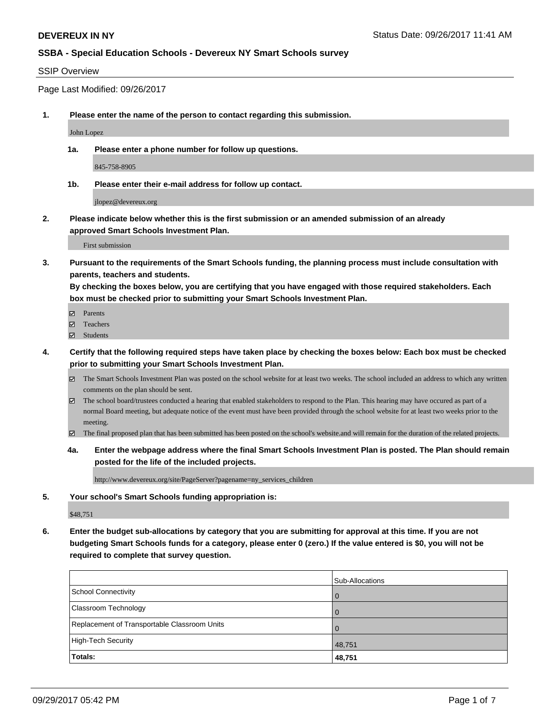#### SSIP Overview

Page Last Modified: 09/26/2017

**1. Please enter the name of the person to contact regarding this submission.**

John Lopez

**1a. Please enter a phone number for follow up questions.**

845-758-8905

**1b. Please enter their e-mail address for follow up contact.**

jlopez@devereux.org

**2. Please indicate below whether this is the first submission or an amended submission of an already approved Smart Schools Investment Plan.**

First submission

**3. Pursuant to the requirements of the Smart Schools funding, the planning process must include consultation with parents, teachers and students.**

**By checking the boxes below, you are certifying that you have engaged with those required stakeholders. Each box must be checked prior to submitting your Smart Schools Investment Plan.**

- **Ø** Parents
- **□** Teachers
- Students
- **4. Certify that the following required steps have taken place by checking the boxes below: Each box must be checked prior to submitting your Smart Schools Investment Plan.**
	- The Smart Schools Investment Plan was posted on the school website for at least two weeks. The school included an address to which any written comments on the plan should be sent.
	- $\boxtimes$  The school board/trustees conducted a hearing that enabled stakeholders to respond to the Plan. This hearing may have occured as part of a normal Board meeting, but adequate notice of the event must have been provided through the school website for at least two weeks prior to the meeting.
	- The final proposed plan that has been submitted has been posted on the school's website.and will remain for the duration of the related projects.
	- **4a. Enter the webpage address where the final Smart Schools Investment Plan is posted. The Plan should remain posted for the life of the included projects.**

http://www.devereux.org/site/PageServer?pagename=ny\_services\_children

**5. Your school's Smart Schools funding appropriation is:**

\$48,751

**6. Enter the budget sub-allocations by category that you are submitting for approval at this time. If you are not budgeting Smart Schools funds for a category, please enter 0 (zero.) If the value entered is \$0, you will not be required to complete that survey question.**

|                                              | Sub-Allocations |
|----------------------------------------------|-----------------|
| School Connectivity                          | $\overline{0}$  |
| <b>Classroom Technology</b>                  | $\Omega$        |
| Replacement of Transportable Classroom Units | $\Omega$        |
| High-Tech Security                           | 48,751          |
| Totals:                                      | 48,751          |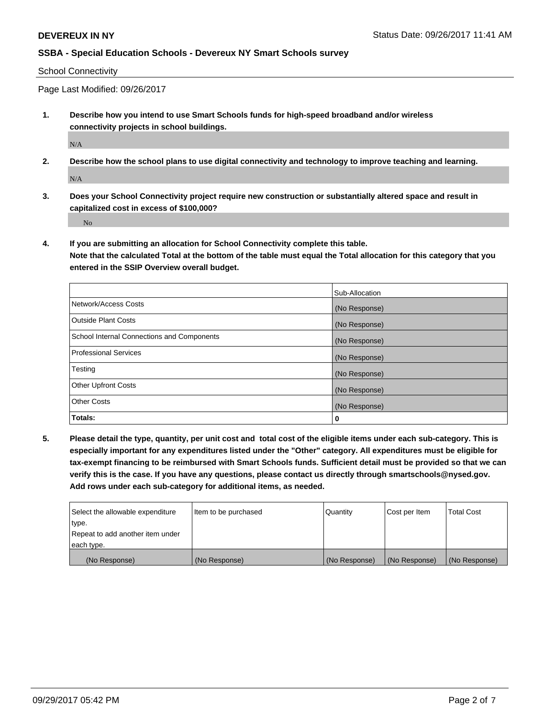#### School Connectivity

Page Last Modified: 09/26/2017

**1. Describe how you intend to use Smart Schools funds for high-speed broadband and/or wireless connectivity projects in school buildings.**

N/A

**2. Describe how the school plans to use digital connectivity and technology to improve teaching and learning.**

N/A

**3. Does your School Connectivity project require new construction or substantially altered space and result in capitalized cost in excess of \$100,000?**

No

**4. If you are submitting an allocation for School Connectivity complete this table. Note that the calculated Total at the bottom of the table must equal the Total allocation for this category that you entered in the SSIP Overview overall budget.** 

|                                            | Sub-Allocation |
|--------------------------------------------|----------------|
| Network/Access Costs                       | (No Response)  |
| Outside Plant Costs                        | (No Response)  |
| School Internal Connections and Components | (No Response)  |
| Professional Services                      | (No Response)  |
| Testing                                    | (No Response)  |
| <b>Other Upfront Costs</b>                 | (No Response)  |
| <b>Other Costs</b>                         | (No Response)  |
| Totals:                                    | 0              |

**5. Please detail the type, quantity, per unit cost and total cost of the eligible items under each sub-category. This is especially important for any expenditures listed under the "Other" category. All expenditures must be eligible for tax-exempt financing to be reimbursed with Smart Schools funds. Sufficient detail must be provided so that we can verify this is the case. If you have any questions, please contact us directly through smartschools@nysed.gov. Add rows under each sub-category for additional items, as needed.**

| Select the allowable expenditure | Item to be purchased | Quantity      | Cost per Item | <b>Total Cost</b> |
|----------------------------------|----------------------|---------------|---------------|-------------------|
| type.                            |                      |               |               |                   |
| Repeat to add another item under |                      |               |               |                   |
| each type.                       |                      |               |               |                   |
| (No Response)                    | (No Response)        | (No Response) | (No Response) | (No Response)     |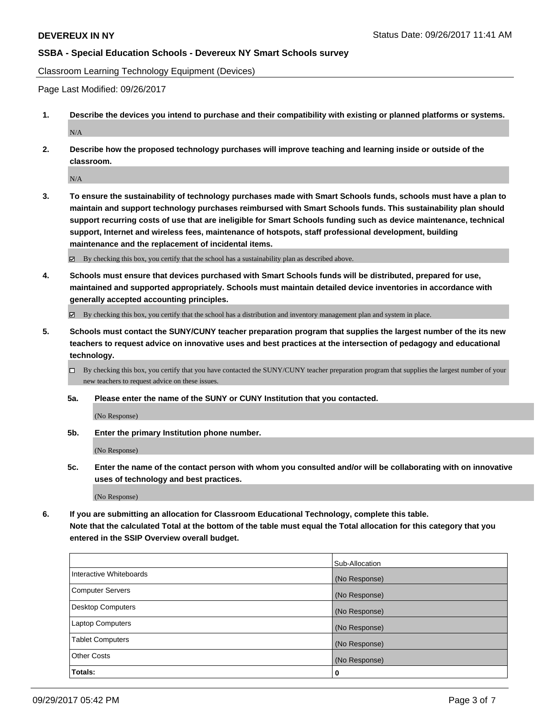Classroom Learning Technology Equipment (Devices)

Page Last Modified: 09/26/2017

- **1. Describe the devices you intend to purchase and their compatibility with existing or planned platforms or systems.** N/A
- **2. Describe how the proposed technology purchases will improve teaching and learning inside or outside of the classroom.**

N/A

**3. To ensure the sustainability of technology purchases made with Smart Schools funds, schools must have a plan to maintain and support technology purchases reimbursed with Smart Schools funds. This sustainability plan should support recurring costs of use that are ineligible for Smart Schools funding such as device maintenance, technical support, Internet and wireless fees, maintenance of hotspots, staff professional development, building maintenance and the replacement of incidental items.**

By checking this box, you certify that the school has a sustainability plan as described above.

**4. Schools must ensure that devices purchased with Smart Schools funds will be distributed, prepared for use, maintained and supported appropriately. Schools must maintain detailed device inventories in accordance with generally accepted accounting principles.**

By checking this box, you certify that the school has a distribution and inventory management plan and system in place.

- **5. Schools must contact the SUNY/CUNY teacher preparation program that supplies the largest number of the its new teachers to request advice on innovative uses and best practices at the intersection of pedagogy and educational technology.**
	- $\Box$  By checking this box, you certify that you have contacted the SUNY/CUNY teacher preparation program that supplies the largest number of your new teachers to request advice on these issues.
	- **5a. Please enter the name of the SUNY or CUNY Institution that you contacted.**

(No Response)

**5b. Enter the primary Institution phone number.**

(No Response)

**5c. Enter the name of the contact person with whom you consulted and/or will be collaborating with on innovative uses of technology and best practices.**

(No Response)

**6. If you are submitting an allocation for Classroom Educational Technology, complete this table. Note that the calculated Total at the bottom of the table must equal the Total allocation for this category that you entered in the SSIP Overview overall budget.**

|                          | Sub-Allocation |
|--------------------------|----------------|
| Interactive Whiteboards  | (No Response)  |
| Computer Servers         | (No Response)  |
| <b>Desktop Computers</b> | (No Response)  |
| <b>Laptop Computers</b>  | (No Response)  |
| <b>Tablet Computers</b>  | (No Response)  |
| <b>Other Costs</b>       | (No Response)  |
| Totals:                  | 0              |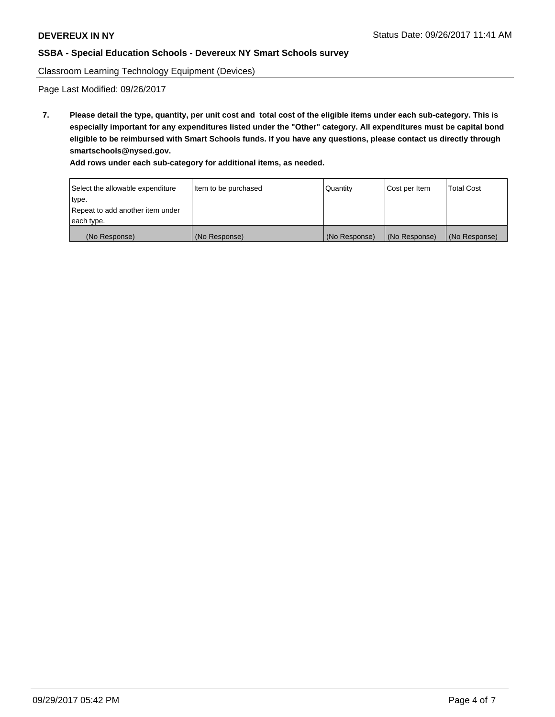Classroom Learning Technology Equipment (Devices)

Page Last Modified: 09/26/2017

**7. Please detail the type, quantity, per unit cost and total cost of the eligible items under each sub-category. This is especially important for any expenditures listed under the "Other" category. All expenditures must be capital bond eligible to be reimbursed with Smart Schools funds. If you have any questions, please contact us directly through smartschools@nysed.gov.**

**Add rows under each sub-category for additional items, as needed.**

| Select the allowable expenditure | Item to be purchased | <b>Quantity</b> | Cost per Item | <b>Total Cost</b> |
|----------------------------------|----------------------|-----------------|---------------|-------------------|
| type.                            |                      |                 |               |                   |
| Repeat to add another item under |                      |                 |               |                   |
| each type.                       |                      |                 |               |                   |
| (No Response)                    | (No Response)        | (No Response)   | (No Response) | (No Response)     |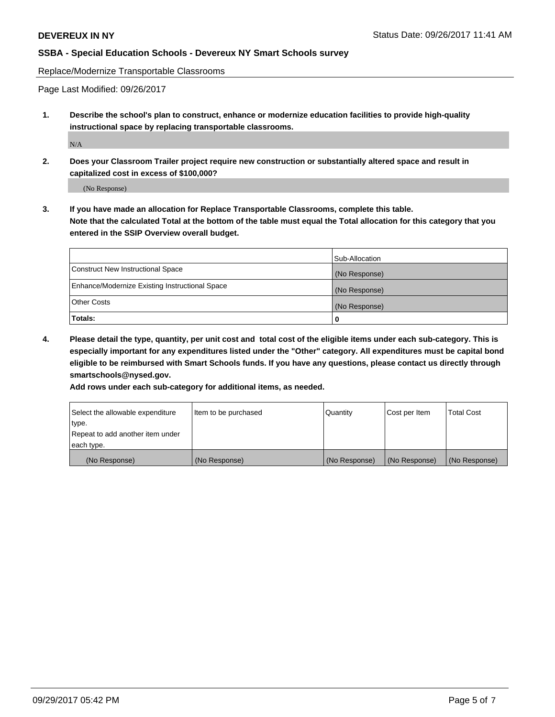Replace/Modernize Transportable Classrooms

Page Last Modified: 09/26/2017

**1. Describe the school's plan to construct, enhance or modernize education facilities to provide high-quality instructional space by replacing transportable classrooms.**

N/A

**2. Does your Classroom Trailer project require new construction or substantially altered space and result in capitalized cost in excess of \$100,000?**

(No Response)

**3. If you have made an allocation for Replace Transportable Classrooms, complete this table. Note that the calculated Total at the bottom of the table must equal the Total allocation for this category that you entered in the SSIP Overview overall budget.**

|                                                | Sub-Allocation |
|------------------------------------------------|----------------|
| Construct New Instructional Space              | (No Response)  |
| Enhance/Modernize Existing Instructional Space | (No Response)  |
| Other Costs                                    | (No Response)  |
| Totals:                                        | 0              |

**4. Please detail the type, quantity, per unit cost and total cost of the eligible items under each sub-category. This is especially important for any expenditures listed under the "Other" category. All expenditures must be capital bond eligible to be reimbursed with Smart Schools funds. If you have any questions, please contact us directly through smartschools@nysed.gov.**

**Add rows under each sub-category for additional items, as needed.**

| Select the allowable expenditure | Item to be purchased | Quantity      | Cost per Item | <b>Total Cost</b> |
|----------------------------------|----------------------|---------------|---------------|-------------------|
| type.                            |                      |               |               |                   |
| Repeat to add another item under |                      |               |               |                   |
| each type.                       |                      |               |               |                   |
| (No Response)                    | (No Response)        | (No Response) | (No Response) | (No Response)     |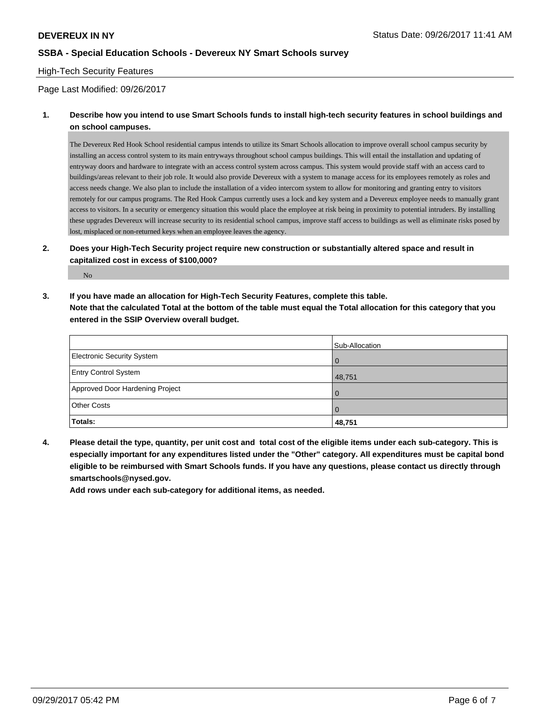#### High-Tech Security Features

#### Page Last Modified: 09/26/2017

# **1. Describe how you intend to use Smart Schools funds to install high-tech security features in school buildings and on school campuses.**

The Devereux Red Hook School residential campus intends to utilize its Smart Schools allocation to improve overall school campus security by installing an access control system to its main entryways throughout school campus buildings. This will entail the installation and updating of entryway doors and hardware to integrate with an access control system across campus. This system would provide staff with an access card to buildings/areas relevant to their job role. It would also provide Devereux with a system to manage access for its employees remotely as roles and access needs change. We also plan to include the installation of a video intercom system to allow for monitoring and granting entry to visitors remotely for our campus programs. The Red Hook Campus currently uses a lock and key system and a Devereux employee needs to manually grant access to visitors. In a security or emergency situation this would place the employee at risk being in proximity to potential intruders. By installing these upgrades Devereux will increase security to its residential school campus, improve staff access to buildings as well as eliminate risks posed by lost, misplaced or non-returned keys when an employee leaves the agency.

# **2. Does your High-Tech Security project require new construction or substantially altered space and result in capitalized cost in excess of \$100,000?**

No

**3. If you have made an allocation for High-Tech Security Features, complete this table. Note that the calculated Total at the bottom of the table must equal the Total allocation for this category that you entered in the SSIP Overview overall budget.**

|                                   | Sub-Allocation |
|-----------------------------------|----------------|
| <b>Electronic Security System</b> | $\Omega$       |
| <b>Entry Control System</b>       | 48,751         |
| Approved Door Hardening Project   | $\Omega$       |
| <b>Other Costs</b>                | $\Omega$       |
| Totals:                           | 48,751         |

**4. Please detail the type, quantity, per unit cost and total cost of the eligible items under each sub-category. This is especially important for any expenditures listed under the "Other" category. All expenditures must be capital bond eligible to be reimbursed with Smart Schools funds. If you have any questions, please contact us directly through smartschools@nysed.gov.**

**Add rows under each sub-category for additional items, as needed.**